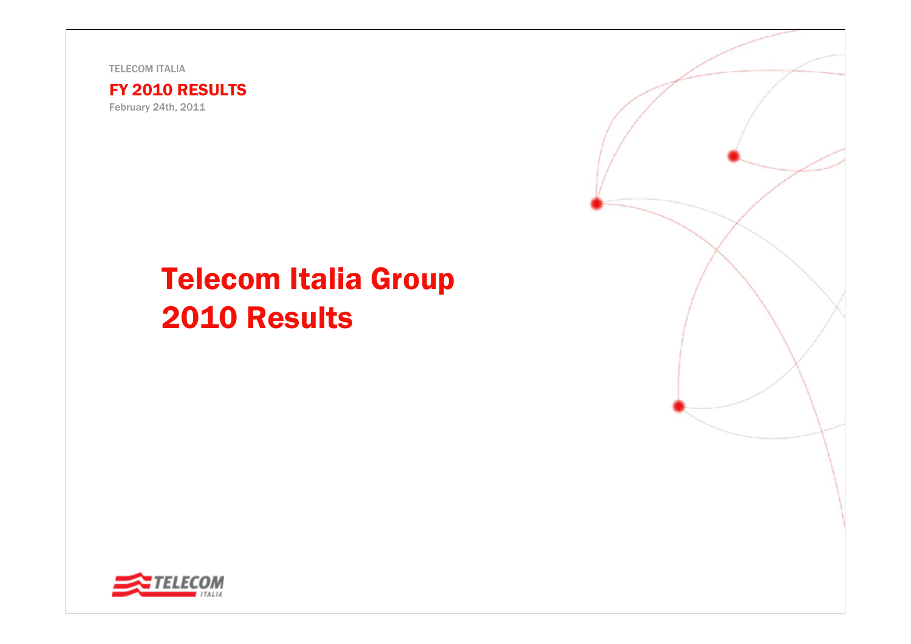TELECOM ITALIA



February 24th, 2011

# Telecom Italia Group 2010 Results

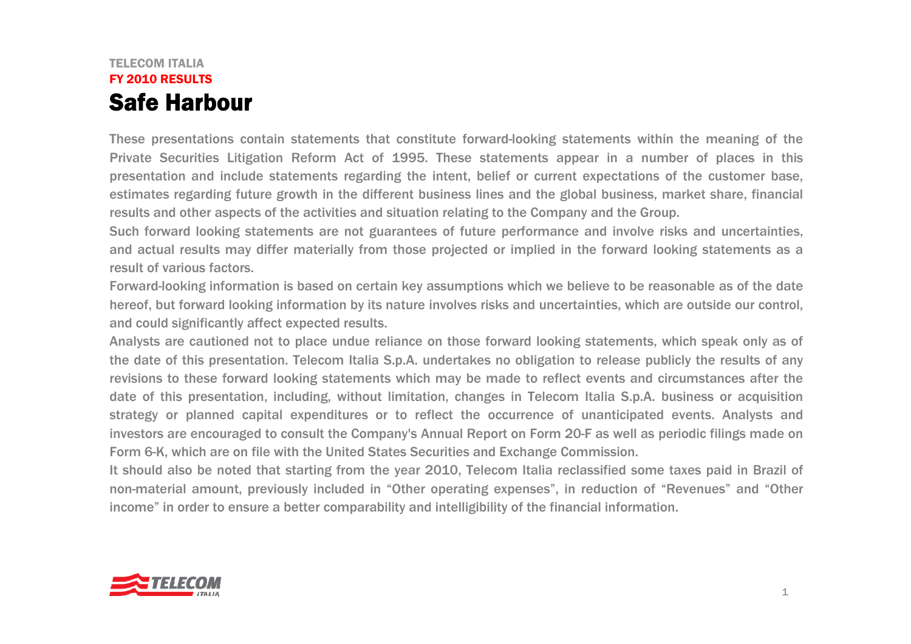### TELECOM ITALIAFY 2010 RESULTSSafe Harbour

These presentations contain statements that constitute forward-looking statements within the meaning of the Private Securities Litigation Reform Act of 1995. These statements appear in a number of places in this presentation and include statements regarding the intent, belief or current expectations of the customer base, estimates regarding future growth in the different business lines and the global business, market share, financial results and other aspects of the activities and situation relating to the Company and the Group.

Such forward looking statements are not guarantees of future performance and involve risks and uncertainties, and actual results may differ materially from those projected or implied in the forward looking statements as a result of various factors.

Forward-looking information is based on certain key assumptions which we believe to be reasonable as of the date hereof, but forward looking information by its nature involves risks and uncertainties, which are outside our control, and could significantly affect expected results.

Analysts are cautioned not to place undue reliance on those forward looking statements, which speak only as of the date of this presentation. Telecom Italia S.p.A. undertakes no obligation to release publicly the results of any revisions to these forward looking statements which may be made to reflect events and circumstances after the date of this presentation, including, without limitation, changes in Telecom Italia S.p.A. business or acquisition strategy or planned capital expenditures or to reflect the occurrence of unanticipated events. Analysts and investors are encouraged to consult the Company's Annual Report on Form 20-F as well as periodic filings made on Form 6-K, which are on file with the United States Securities and Exchange Commission.

It should also be noted that starting from the year 2010, Telecom Italia reclassified some taxes paid in Brazil of non-material amount, previously included in "Other operating expenses", in reduction of "Revenues" and "Other income" in order to ensure a better comparability and intelligibility of the financial information.

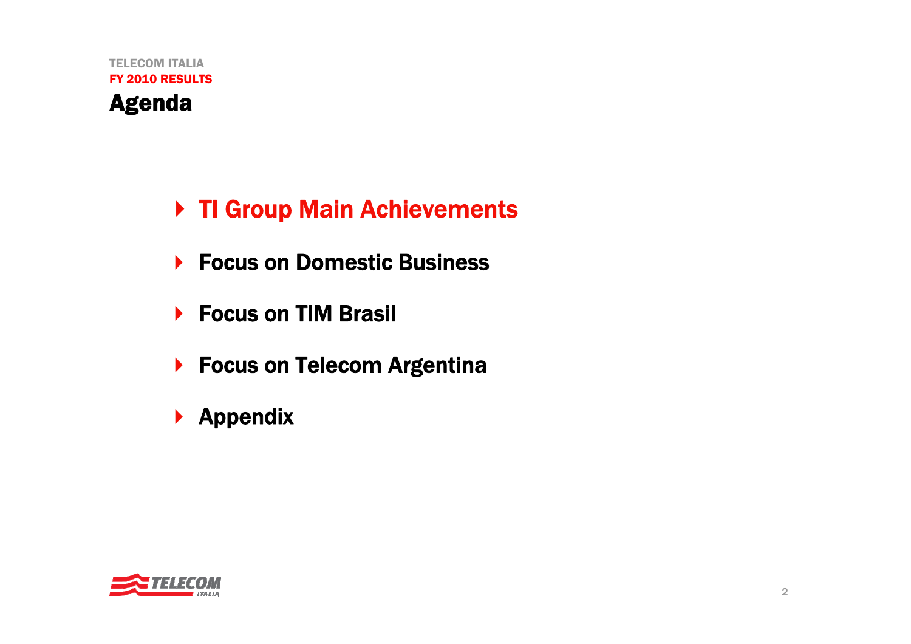TELECOM ITALIAFY 2010 RESULTSAgenda

- ▶ TI Group Main Achievements
- ▶ Focus on Domestic Business
- ▶ Focus on TIM Brasil
- ▶ Focus on Telecom Argentina
- $\blacktriangleright$ Appendix

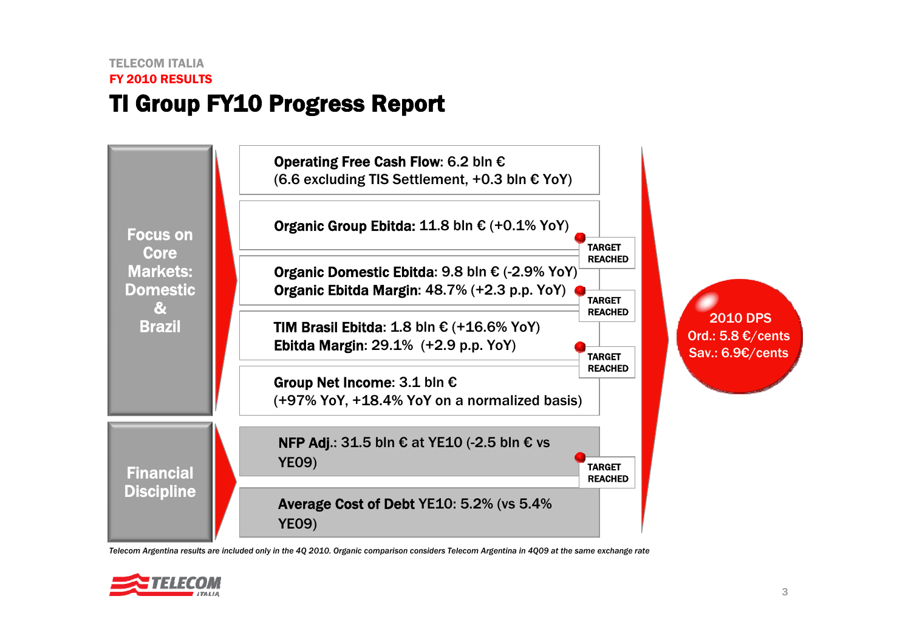



*Telecom Argentina results are included only in the 4Q 2010. Organic comparison considers Telecom Argentina in 4Q09 at the same exchange rate*

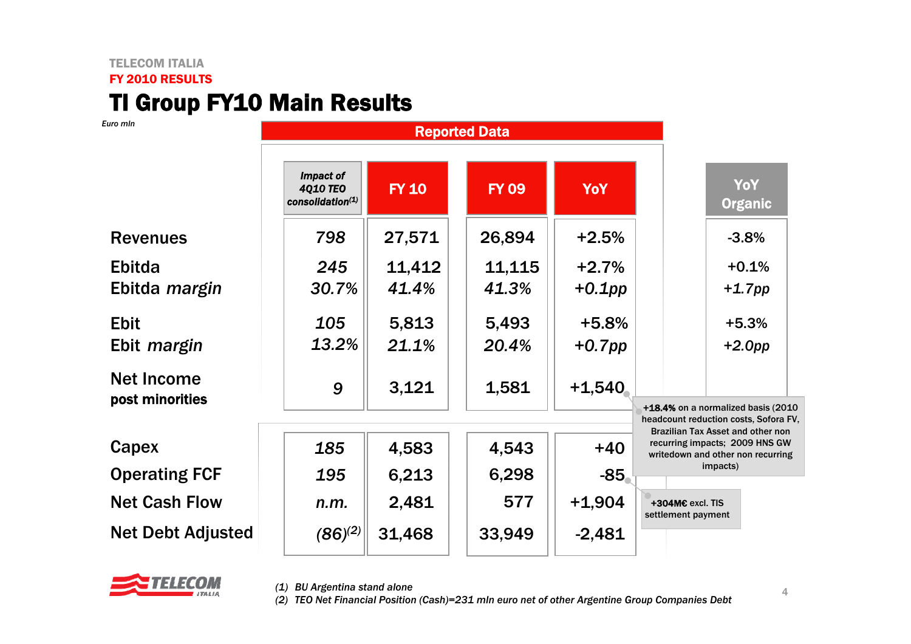### TELECOM ITALIA FY 2010 RESULTS**TI Group FY10 Main Results**

*Euro mln*

|                                      | Impact of<br><b>4Q10 TEO</b><br>consolidation(1) | <b>FY 10</b> | <b>FY 09</b> | <b>YoY</b> | <b>YoY</b><br><b>Organic</b>                                                                             |
|--------------------------------------|--------------------------------------------------|--------------|--------------|------------|----------------------------------------------------------------------------------------------------------|
| <b>Revenues</b>                      | 798                                              | 27,571       | 26,894       | $+2.5%$    | $-3.8%$                                                                                                  |
| <b>Ebitda</b>                        | 245                                              | 11,412       | 11,115       | $+2.7%$    | $+0.1%$                                                                                                  |
| Ebitda margin                        | 30.7%                                            | 41.4%        | 41.3%        | $+0.1$ pp  | $+1.7$ pp                                                                                                |
| <b>Ebit</b>                          | 105                                              | 5,813        | 5,493        | $+5.8%$    | $+5.3%$                                                                                                  |
| Ebit <i>margin</i>                   | 13.2%                                            | 21.1%        | 20.4%        | $+0.7$ pp  | $+2.0$ pp                                                                                                |
| <b>Net Income</b><br>post minorities | 9                                                | 3,121        | 1,581        | $+1,540$   |                                                                                                          |
|                                      |                                                  |              |              |            | +18.4% on a normalized basis (2010<br>headcount reduction costs, Sofora FV,                              |
| Capex                                | 185                                              | 4,583        | 4,543        | $+40$      | Brazilian Tax Asset and other non<br>recurring impacts; 2009 HNS GW<br>writedown and other non recurring |
| <b>Operating FCF</b>                 | 195                                              | 6,213        | 6,298        | $-85$      | impacts)                                                                                                 |
| <b>Net Cash Flow</b>                 | n.m.                                             | 2,481        | 577          | $+1,904$   | +304M€ excl. TIS<br>settlement payment                                                                   |
| <b>Net Debt Adjusted</b>             | $(86)^{(2)}$                                     | 31,468       | 33,949       | $-2,481$   |                                                                                                          |



*(1) BU Argentina stand alone*

*(2) TEO Net Financial Position (Cash)=231 mln euro net of other Argentine Group Companies Debt*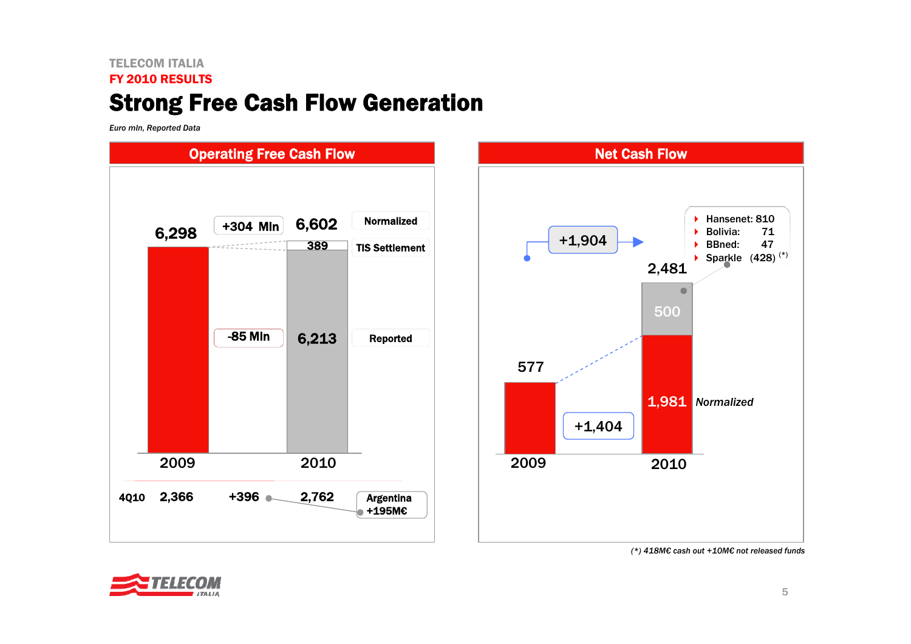## TELECOM ITALIAFY 2010 RESULTSStrong Free Cash Flow Generation

*Euro mln, Reported Data*



*<sup>(\*) 418</sup>M€ cash out +10M€ not released funds*

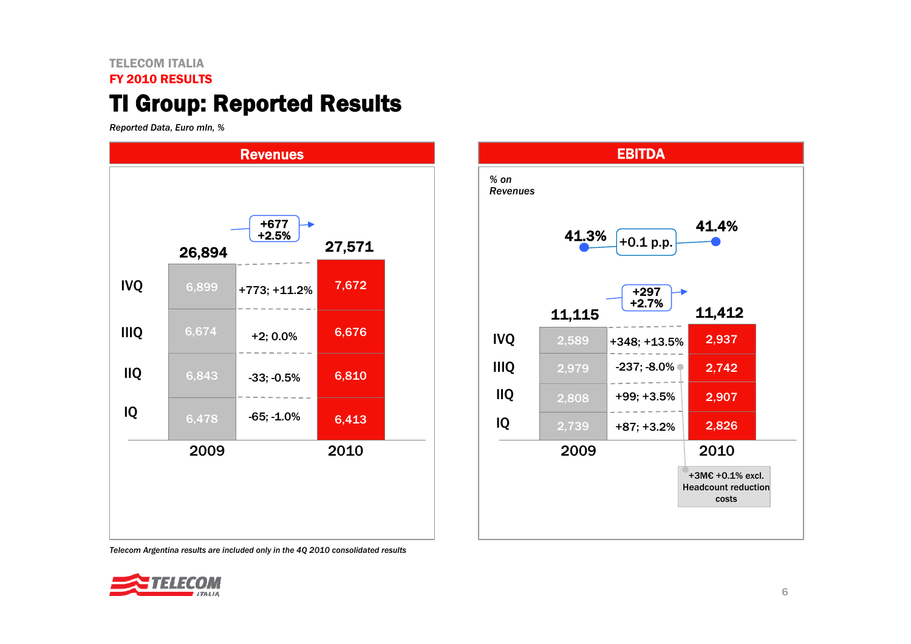### TELECOM ITALIA

#### FY 2010 RESULTS

# TI Group: Reported Results

*Reported Data, Euro mln, %*





*Telecom Argentina results are included only in the 4Q 2010 consolidated results*

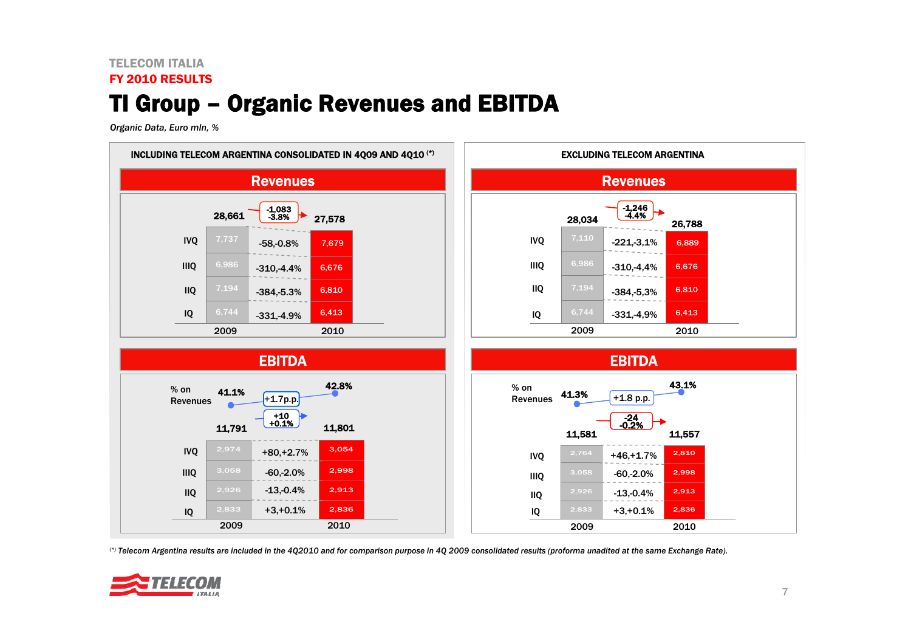### TELECOM ITALIA

### FY 2010 RESULTS

# TI Group – Organic Revenues and EBITDA

*Organic Data, Euro mln, %*



*(\*) Telecom Argentina results are included in the 4Q2010 and for comparison purpose in 4Q 2009 consolidated results (proforma unadited at the same Exchange Rate).* 

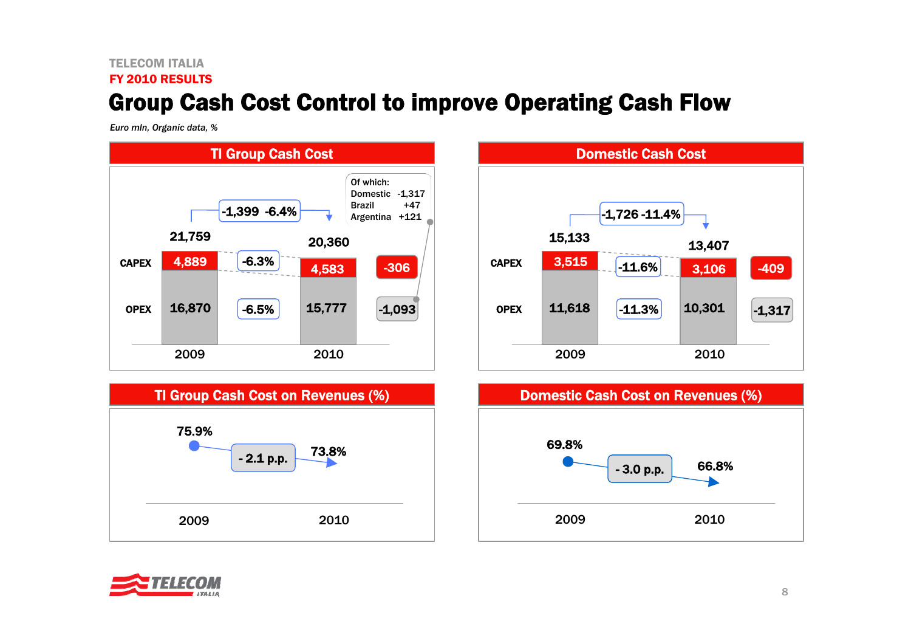### TELECOM ITALIAFY 2010 RESULTSGroup Cash Cost Control to improve Operating Cash Flow

*Euro mln, Organic data, %*



TI Group Cash Cost on Revenues (%)

73.8%







75.9%

2009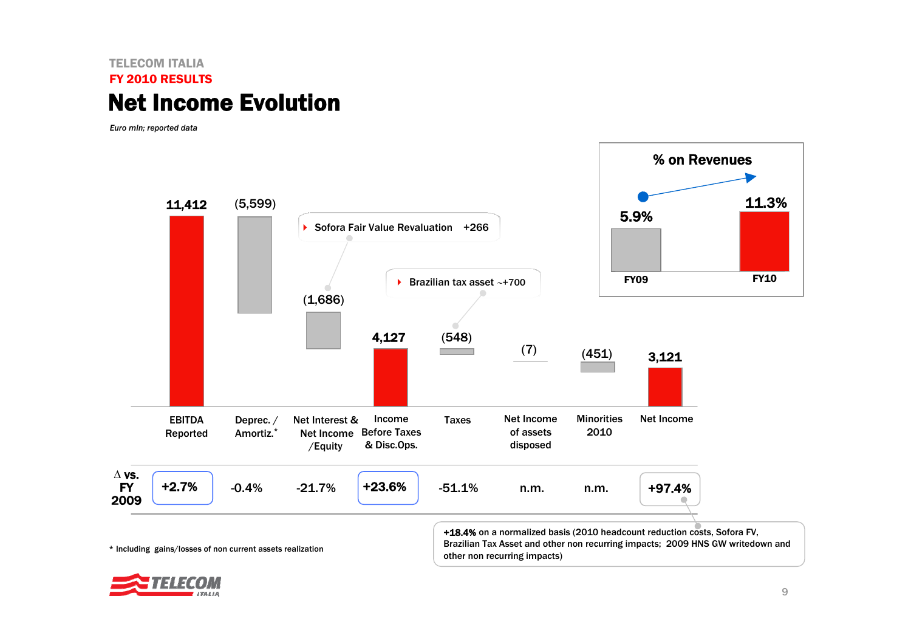### TELECOM ITALIAFY 2010 RESULTSNet Income Evolution

*Euro mln; reported data*



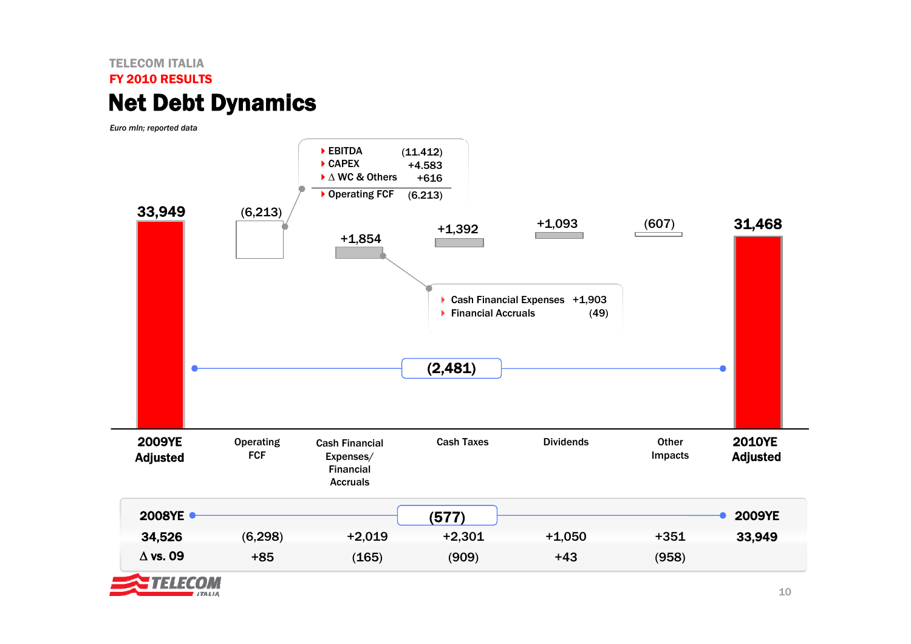### TELECOM ITALIAFY 2010 RESULTSNet Debt Dynamics

**ITALIA** 

*Euro mln; reported data*

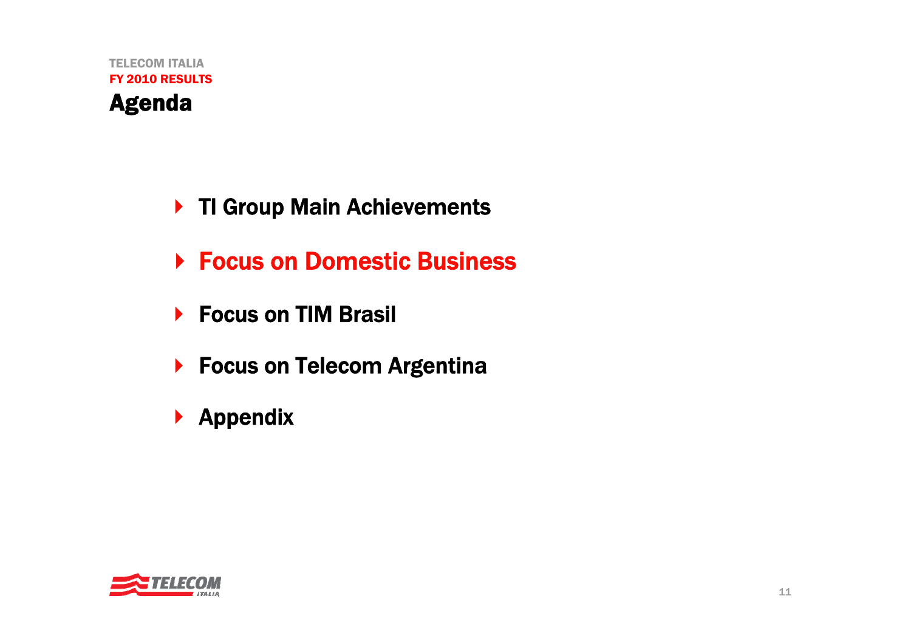- ▶ TI Group Main Achievements
- **▶ Focus on Domestic Business**
- ▶ Focus on TIM Brasil
- ▶ Focus on Telecom Argentina
- $\blacktriangleright$  Appendix

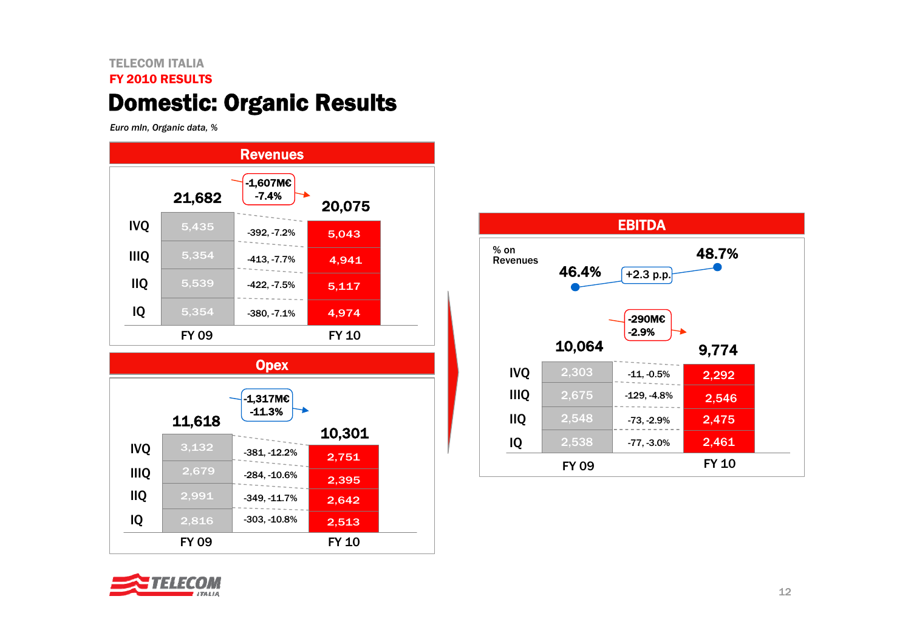### TELECOM ITALIAFY 2010 RESULTSDomestic: Organic Results

*Euro mln, Organic data, %*







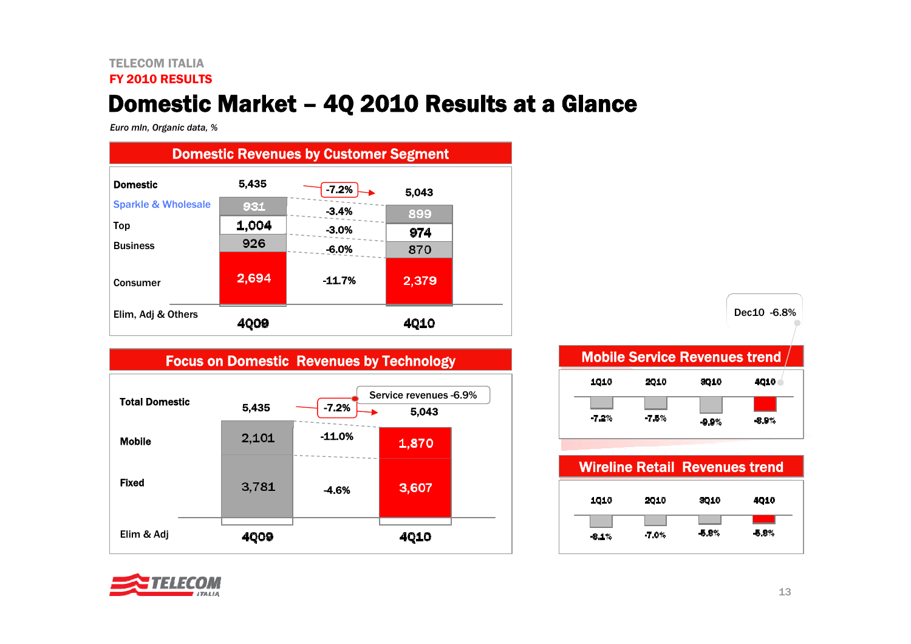#### TELECOM ITALIAFY 2010 RESULTS

# Domestic Market – 4Q 2010 Results at a Glance

*Euro mln, Organic data, %*



| <b>Total Domestic</b> | 5,435 | $-7.2%$  | Service revenues -6.9%<br>5,043 |  |
|-----------------------|-------|----------|---------------------------------|--|
| <b>Mobile</b>         | 2,101 | $-11.0%$ | 1,870                           |  |
| <b>Fixed</b>          | 3,781 | $-4.6%$  | 3,607                           |  |
| Elim & Adj            | 4009  |          | <b>4Q10</b>                     |  |

| 1010  | 2010 | 3010  | 4010  |
|-------|------|-------|-------|
| -7.2% | -78% | -9.9% | -8.9% |

|         |       | <b>Wireline Retail Revenues trend</b> |       |
|---------|-------|---------------------------------------|-------|
| 1010    | 2010  | 3010                                  | 4010  |
| $-8.1%$ | -7.0% | -5.8%                                 | -5.8% |

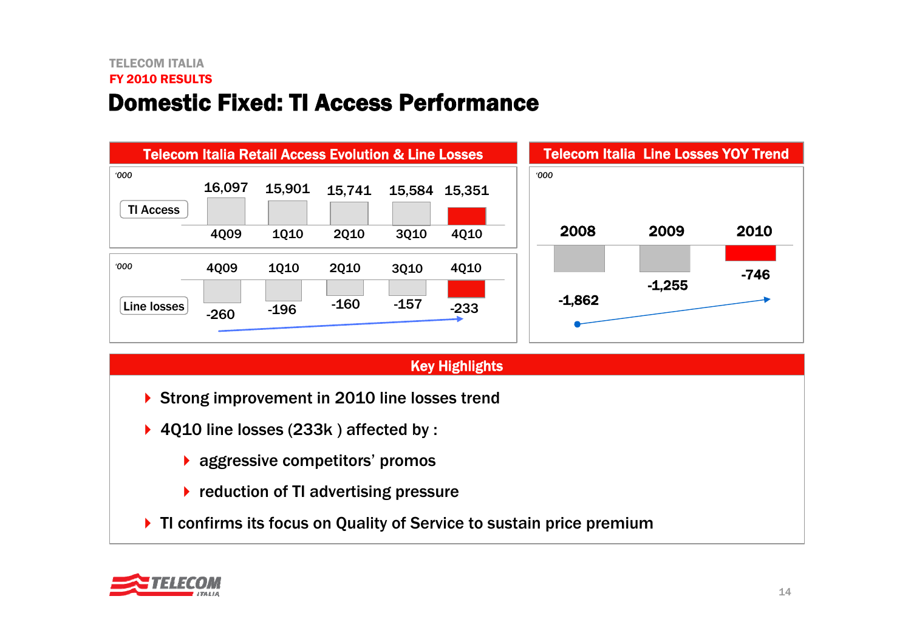### TELECOM ITALIAFY 2010 RESULTSDomestic Fixed: TI Access Performance



### Key Highlights

- ▶ Strong improvement in 2010 line losses trend
- 4Q10 line losses (233k ) affected by :
	- **A** aggressive competitors' promos
	- ▶ reduction of TI advertising pressure
- ▶ TI confirms its focus on Quality of Service to sustain price premium

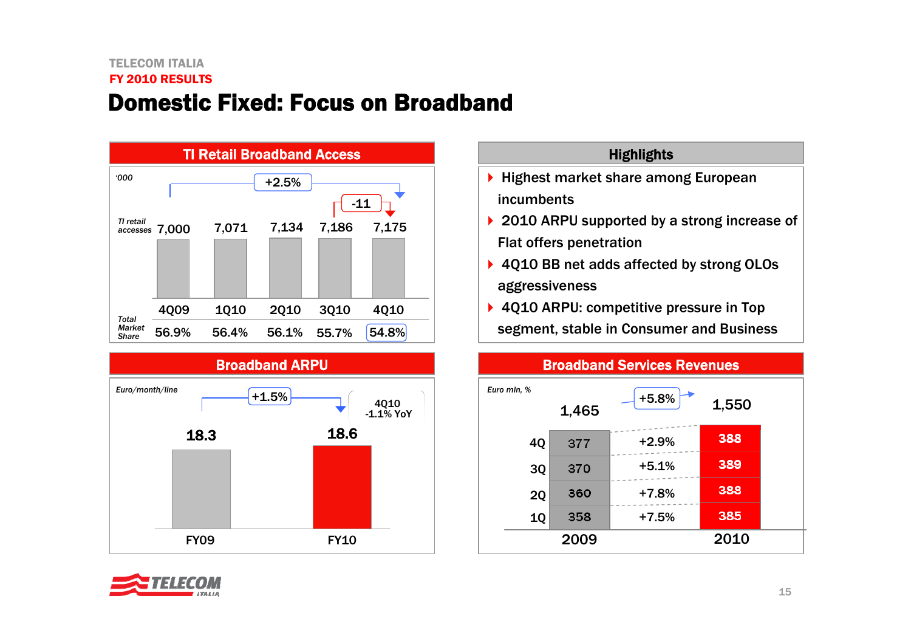## TELECOM ITALIAFY 2010 RESULTSDomestic Fixed: Focus on Broadband





### **Highlights**

- ▶ Highest market share among European incumbents
- ▶ 2010 ARPU supported by a strong increase of Flat offers penetration
- ▶ 4Q10 BB net adds affected by strong OLOs aggressiveness
- ▶ 4Q10 ARPU: competitive pressure in Top segment, stable in Consumer and Business



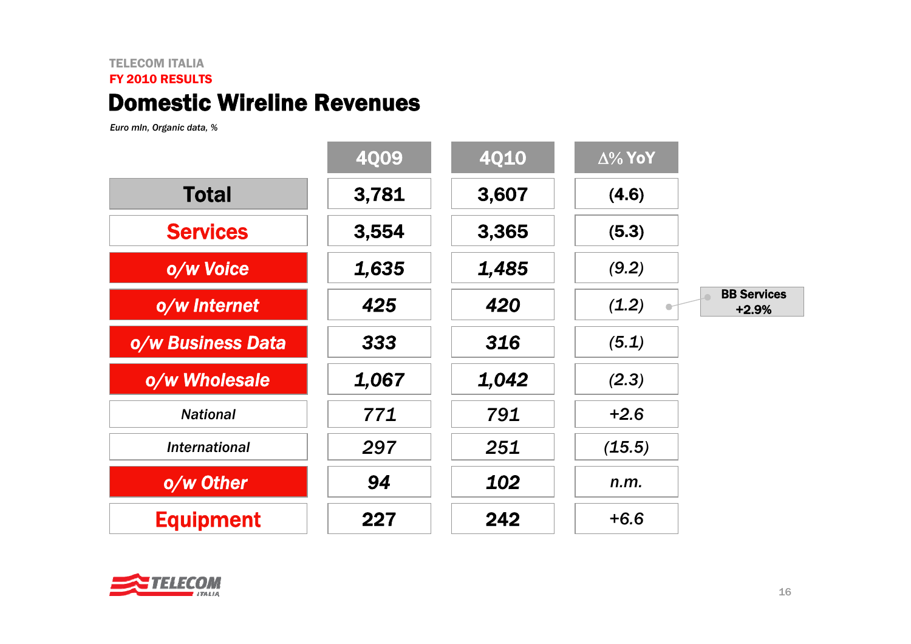### TELECOM ITALIA FY 2010 RESULTS Domestic Wireline Revenues

*Euro mln, Organic data, %*

|                      | <b>4009</b> | <b>4Q10</b> | $\Delta\%$ YoY                         |  |
|----------------------|-------------|-------------|----------------------------------------|--|
| <b>Total</b>         | 3,781       | 3,607       | (4.6)                                  |  |
| <b>Services</b>      | 3,554       | 3,365       | (5.3)                                  |  |
| o/w Voice            | 1,635       | 1,485       | (9.2)                                  |  |
| o/w Internet         | 425         | 420         | <b>BB Services</b><br>(1.2)<br>$+2.9%$ |  |
| o/w Business Data    | 333         | 316         | (5.1)                                  |  |
| o/w Wholesale        | 1,067       | 1,042       | (2.3)                                  |  |
| <b>National</b>      | 771         | 791         | $+2.6$                                 |  |
| <b>International</b> | 297         | 251         | (15.5)                                 |  |
| o/w Other            | 94          | 102         | n.m.                                   |  |
| <b>Equipment</b>     | 227         | 242         | $+6.6$                                 |  |

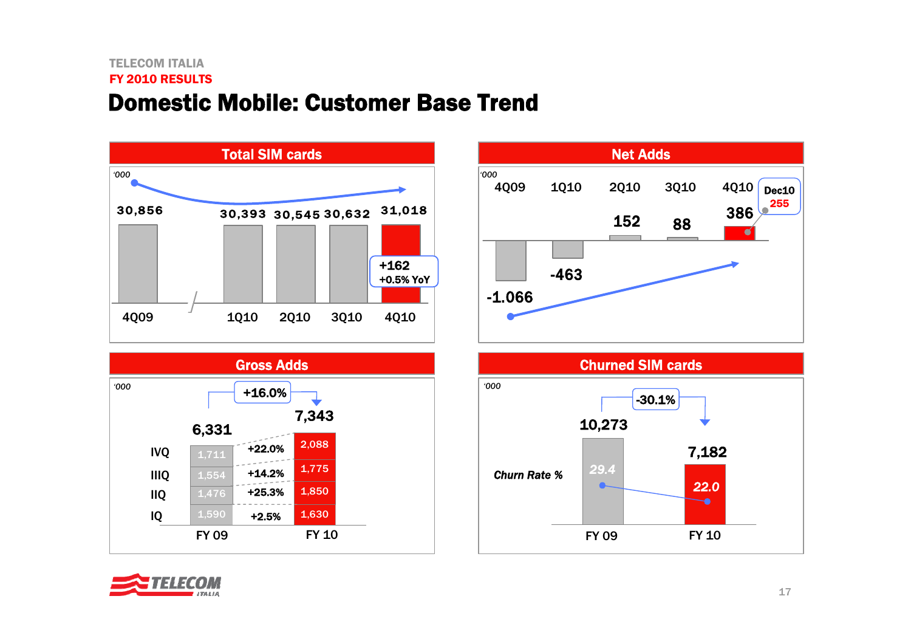### TELECOM ITALIAFY 2010 RESULTSDomestic Mobile: Customer Base Trend









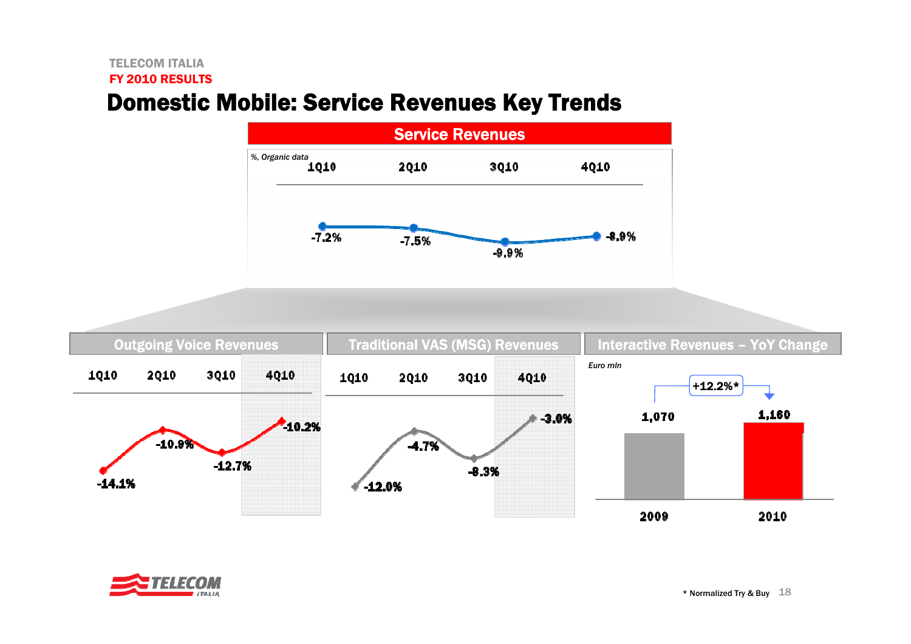### TELECOM ITALIA

#### FY 2010 RESULTS

# Domestic Mobile: Service Revenues Key Trends





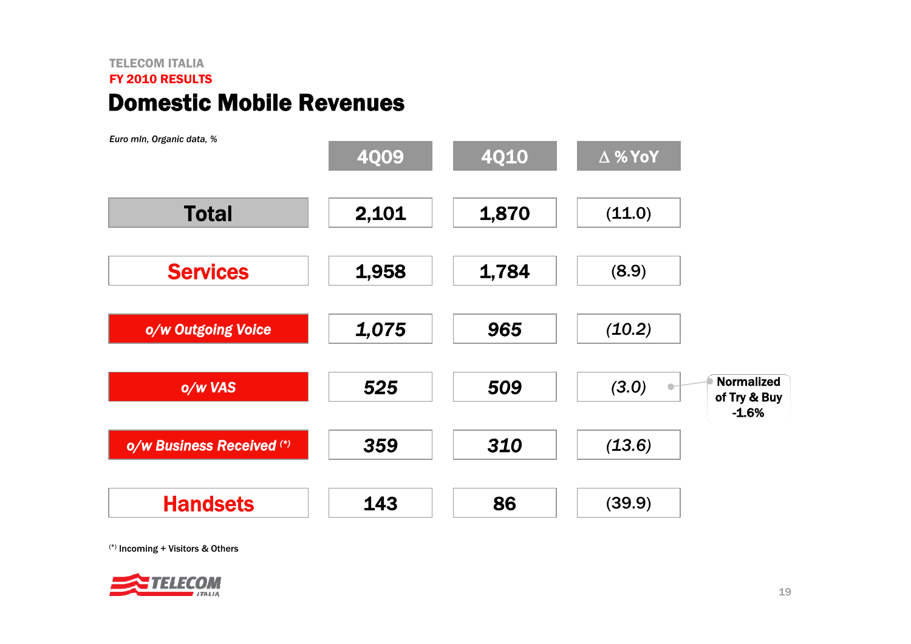### TELECOM ITALIAFY 2010 RESULTSDomestic Mobile Revenues



(\*) Incoming + Visitors & Others

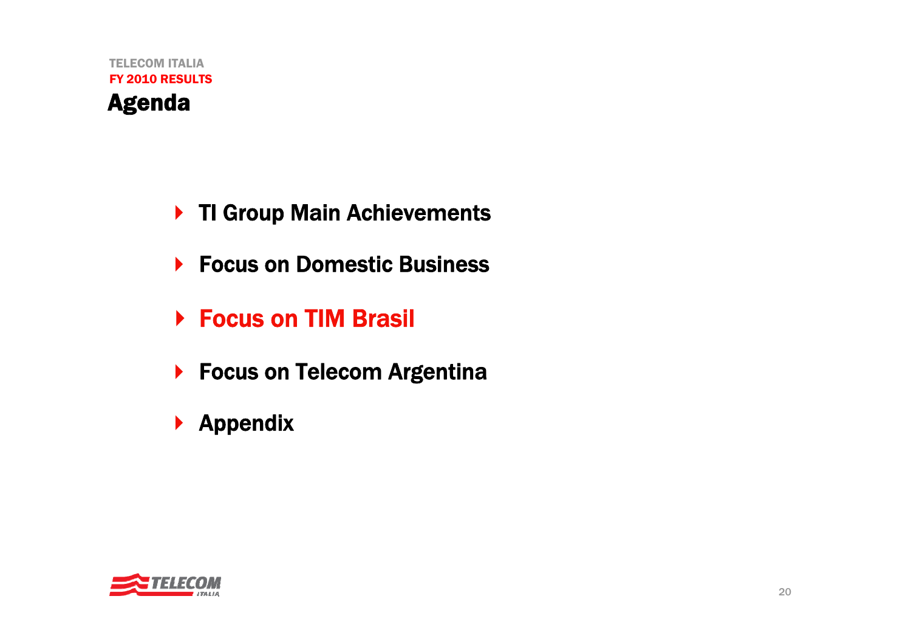- ▶ TI Group Main Achievements
- ▶ Focus on Domestic Business
- ▶ Focus on TIM Brasil
- ▶ Focus on Telecom Argentina
- $\blacktriangleright$  Appendix

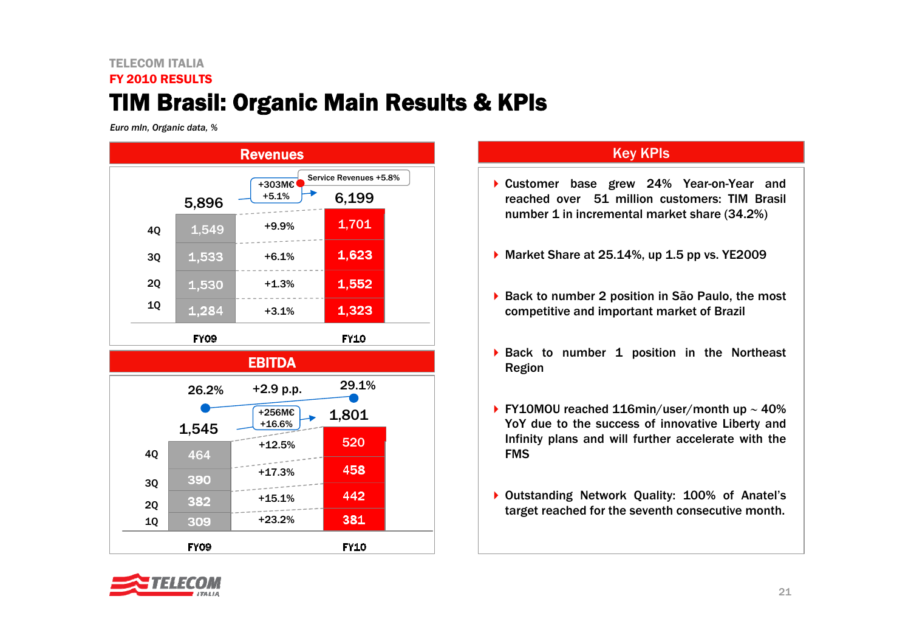### TELECOM ITALIAFY 2010 RESULTSTIM Brasil: Organic Main Results & KPIs

*Euro mln, Organic data, %*



### Key KPIs

- Customer base grew 24% Year-on-Year and reached over 51 million customers: TIM Brasil number 1 in incremental market share (34.2%)
- ▶ Market Share at 25.14%, up 1.5 pp vs. YE2009
- ▶ Back to number 2 position in São Paulo, the most competitive and important market of Brazil
- ▶ Back to number 1 position in the Northeast Region
- FY10MOU reached 116min/user/month up <sup>∼</sup> 40% YoY due to the success of innovative Liberty and Infinity plans and will further accelerate with the FMS
- ▶ Outstanding Network Quality: 100% of Anatel's target reached for the seventh consecutive month.

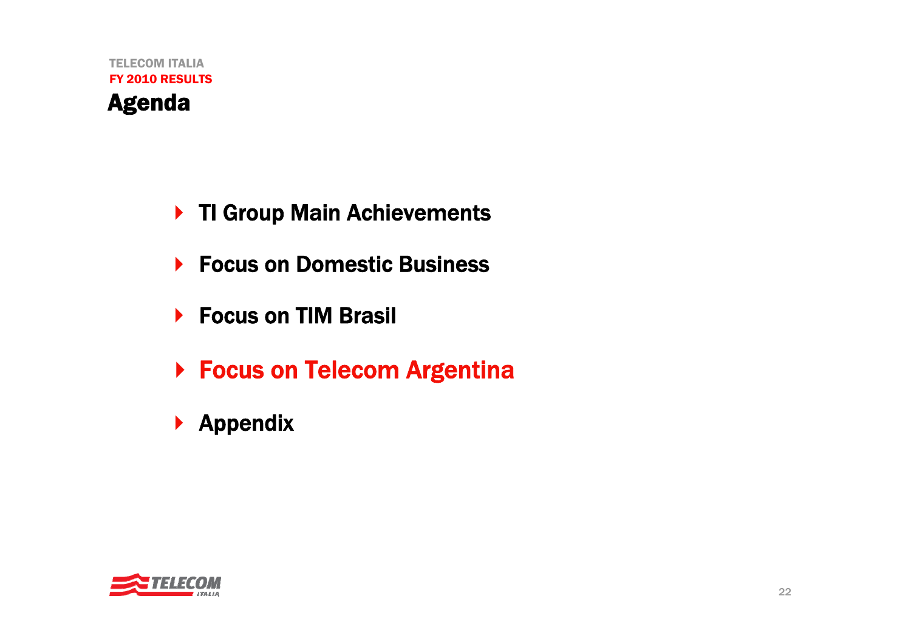- ▶ TI Group Main Achievements
- $\blacktriangleright$ Focus on Domestic Business
- ▶ Focus on TIM Brasil
- ▶ Focus on Telecom Argentina
- $\blacktriangleright$  Appendix

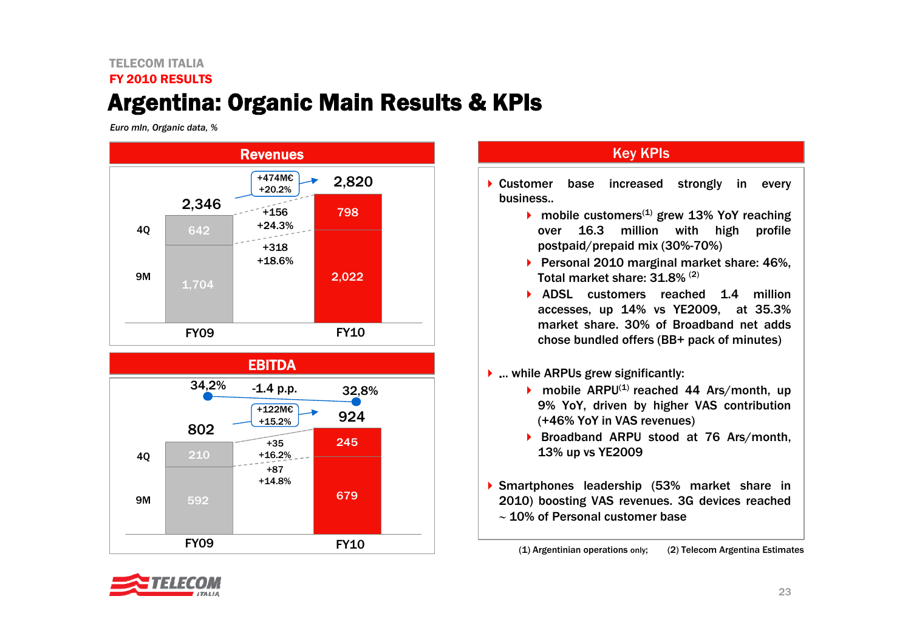## TELECOM ITALIAFY 2010 RESULTSArgentina: Organic Main Results & KPIs

*Euro mln, Organic data, %*





### **Key KPIs**

• Customer base increased strongly in every business..

- mobile customers<sup>(1)</sup> grew 13% YoY reaching over 16.3 million with high profile postpaid/prepaid mix (30%-70%)
- ▶ Personal 2010 marginal market share: 46%, Total market share: 31.8% (2)
- **ADSL** customers reached 1.4 million accesses, up 14% vs YE2009, at 35.3% market share. 30% of Broadband net adds chose bundled offers (BB+ pack of minutes)
- **▶ ... while ARPUs grew significantly:** 
	- mobile ARPU<sup>(1)</sup> reached 44 Ars/month, up 9% YoY, driven by higher VAS contribution (+46% YoY in VAS revenues)
	- ▶ Broadband ARPU stood at 76 Ars/month, 13% up vs YE2009
- Smartphones leadership (53% market share in 2010) boosting VAS revenues. 3G devices reached  $\sim$  10% of Personal customer base

(1) Argentinian operations only; (2) Telecom Argentina Estimates

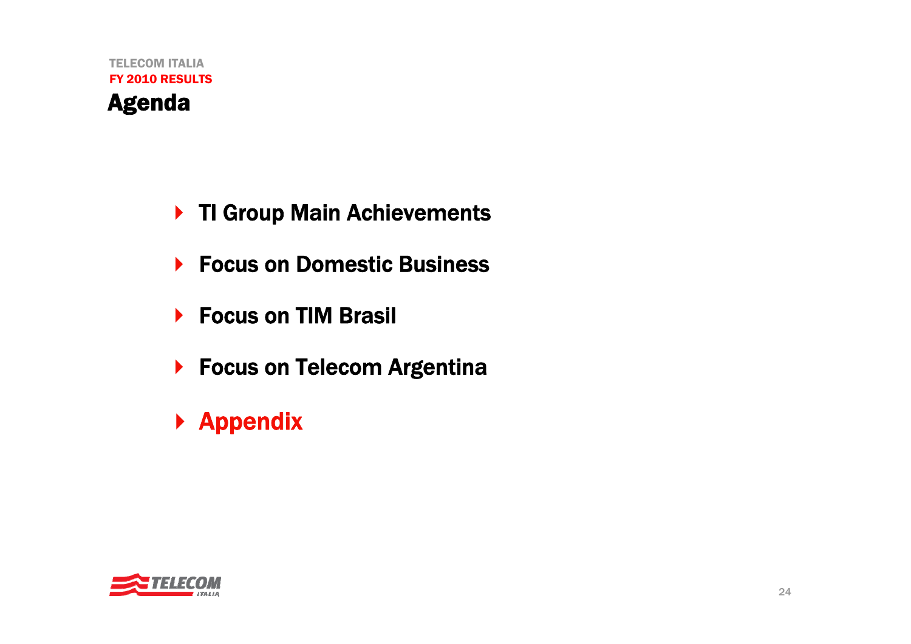- ▶ TI Group Main Achievements
- ▶ Focus on Domestic Business
- ▶ Focus on TIM Brasil
- ▶ Focus on Telecom Argentina
- ▶ Appendix

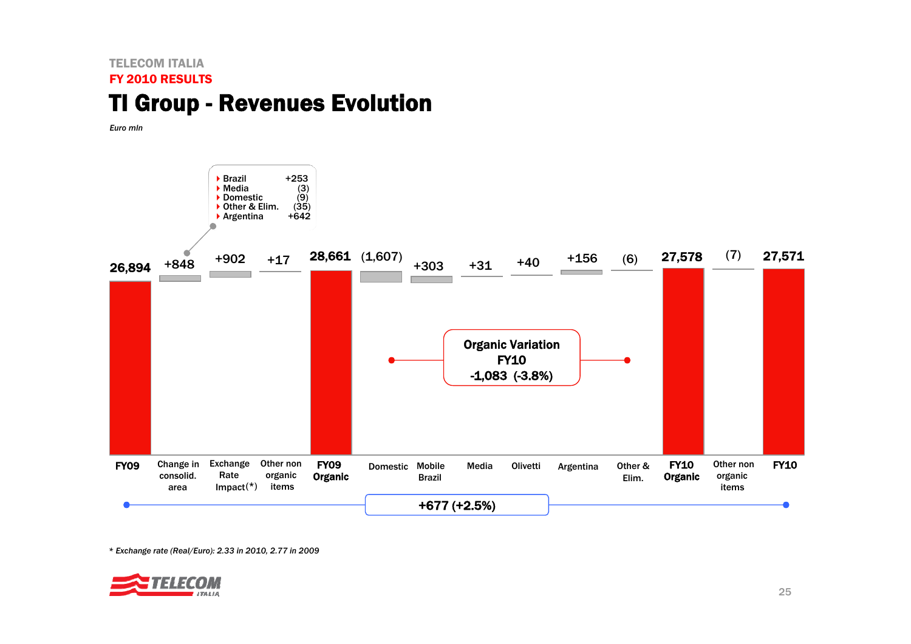### TELECOM ITALIAFY 2010 RESULTSTI Group - Revenues Evolution

*Euro mln* 



*\* Exchange rate (Real/Euro): 2.33 in 2010, 2.77 in 2009*

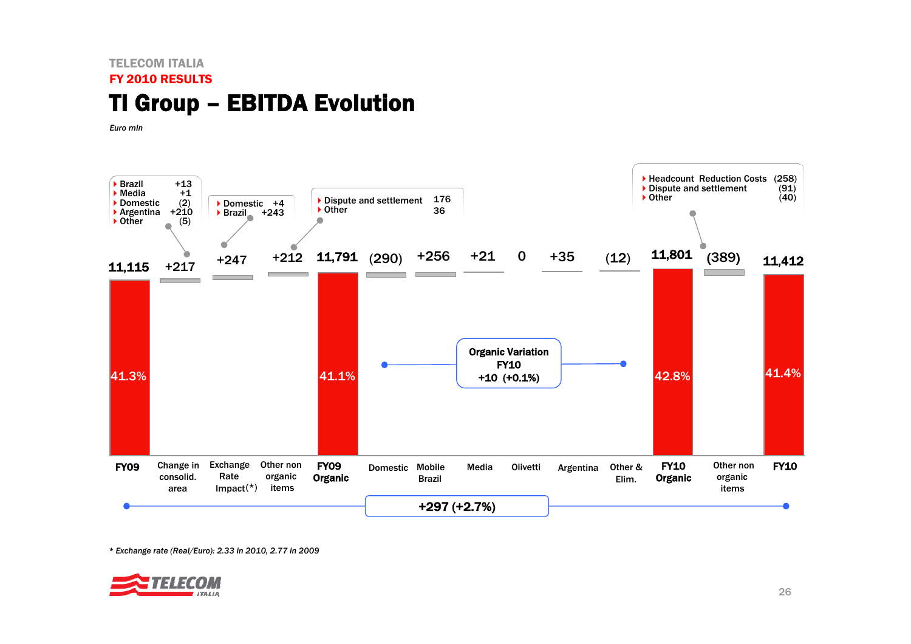## TELECOM ITALIAFY 2010 RESULTSTI Group – EBITDA Evolution

*Euro mln* 



*\* Exchange rate (Real/Euro): 2.33 in 2010, 2.77 in 2009*

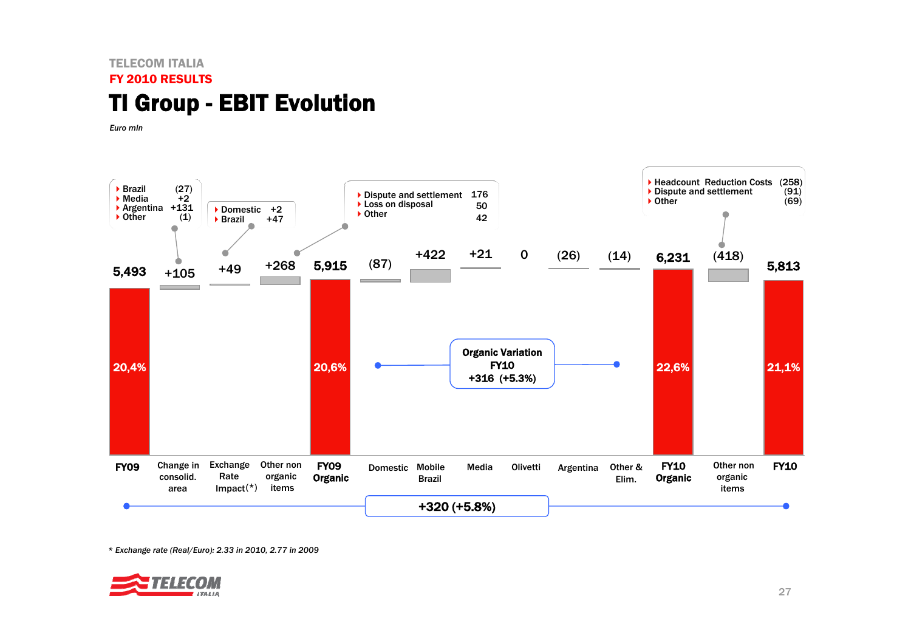### TELECOM ITALIAFY 2010 RESULTSTI Group - EBIT Evolution

*Euro mln* 



*\* Exchange rate (Real/Euro): 2.33 in 2010, 2.77 in 2009*

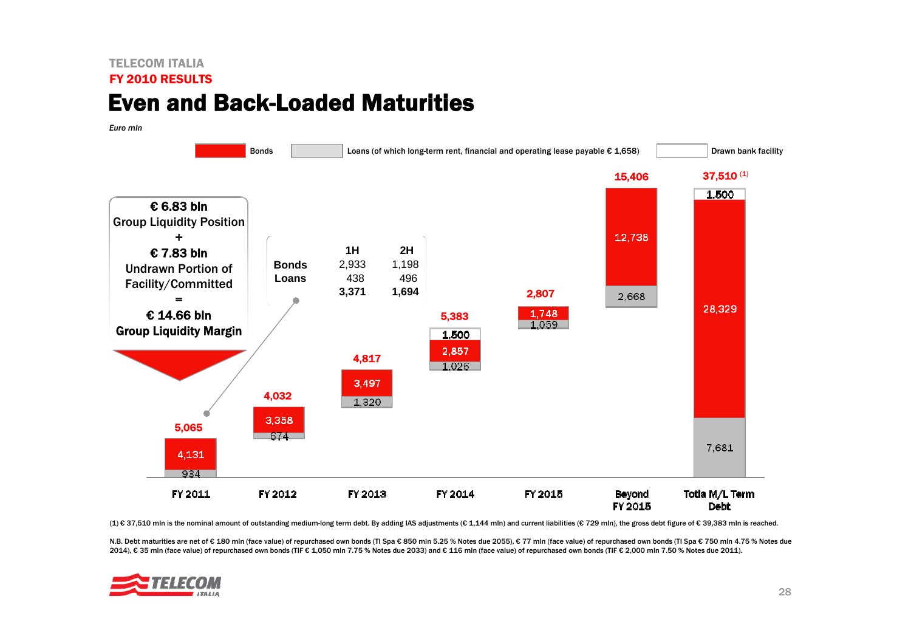### TELECOM ITALIAFY 2010 RESULTSEven and Back-Loaded Maturities

*Euro mln*



(1) € 37,510 mln is the nominal amount of outstanding medium-long term debt. By adding IAS adjustments (€ 1,144 mln) and current liabilities (€ 729 mln), the gross debt figure of € 39,383 mln is reached.

N.B. Debt maturities are net of € 180 mln (face value) of repurchased own bonds (TI Spa € 850 mln 5.25 % Notes due 2055), € 77 mln (face value) of repurchased own bonds (TI Spa € 750 mln 4.75 % Notes due 2014), € 35 mln (face value) of repurchased own bonds (TIF € 1,050 mln 7.75 % Notes due 2033) and € 116 mln (face value) of repurchased own bonds (TIF € 2,000 mln 7.50 % Notes due 2011).

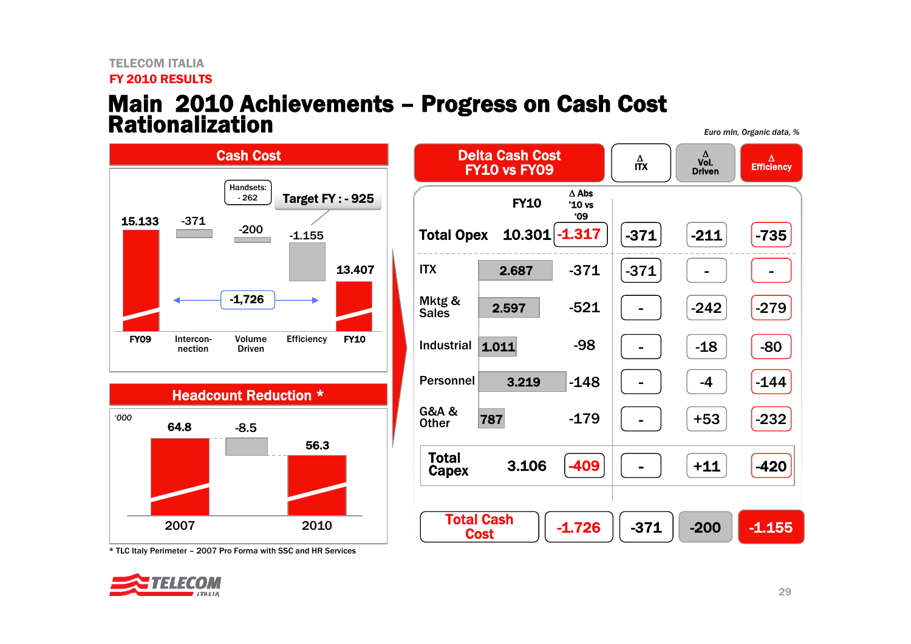#### TELECOM ITALIAFY 2010 RESULTS

# Main 2010 Achievements – Progress on Cash Cost<br>Rationalization

*Euro mln, Organic data, %*



\* TLC Italy Perimeter – 2007 Pro Forma with SSC and HR Services

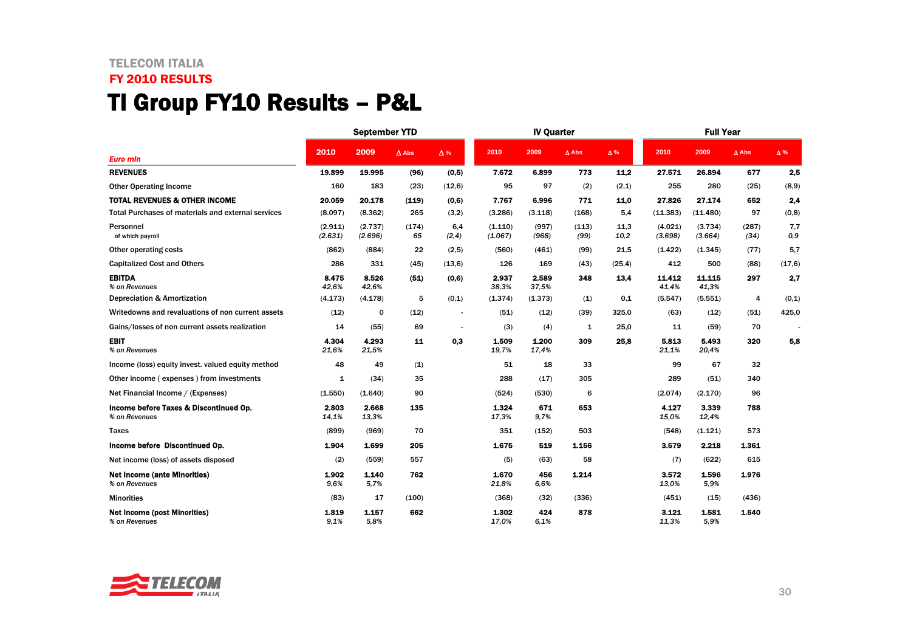## TELECOM ITALIA FY 2010 RESULTS TI Group FY10 Results – P&L

|                                                         |                    | <b>September YTD</b> |              |                          |                    | <b>IV Quarter</b> |               |              | <b>Full Year</b>   |                    |               |            |
|---------------------------------------------------------|--------------------|----------------------|--------------|--------------------------|--------------------|-------------------|---------------|--------------|--------------------|--------------------|---------------|------------|
| <b>Euro min</b>                                         | 2010               | 2009                 | $\Delta$ Abs | $\Delta$ %               | 2010               | 2009              | $\Delta$ Abs  | $\Delta$ %   | 2010               | 2009               | $\Delta$ Abs  | $\Delta$ % |
| <b>REVENUES</b>                                         | 19.899             | 19.995               | (96)         | (0,5)                    | 7.672              | 6.899             | 773           | 11,2         | 27.571             | 26.894             | 677           | 2.5        |
| <b>Other Operating Income</b>                           | 160                | 183                  | (23)         | (12,6)                   | 95                 | 97                | (2)           | (2,1)        | 255                | 280                | (25)          | (8,9)      |
| <b>TOTAL REVENUES &amp; OTHER INCOME</b>                | 20.059             | 20.178               | (119)        | (0,6)                    | 7.767              | 6.996             | 771           | 11.0         | 27.826             | 27.174             | 652           | 2,4        |
| Total Purchases of materials and external services      | (8.097)            | (8.362)              | 265          | (3,2)                    | (3.286)            | (3.118)           | (168)         | 5,4          | (11.383)           | (11.480)           | 97            | (0,8)      |
| Personnel<br>of which payroll                           | (2.911)<br>(2.631) | (2.737)<br>(2.696)   | (174)<br>65  | 6,4<br>(2, 4)            | (1.110)<br>(1.067) | (997)<br>(968)    | (113)<br>(99) | 11.3<br>10,2 | (4.021)<br>(3.698) | (3.734)<br>(3.664) | (287)<br>(34) | 7,7<br>0,9 |
| Other operating costs                                   | (862)              | (884)                | 22           | (2,5)                    | (560)              | (461)             | (99)          | 21,5         | (1.422)            | (1.345)            | (77)          | 5,7        |
| <b>Capitalized Cost and Others</b>                      | 286                | 331                  | (45)         | (13,6)                   | 126                | 169               | (43)          | (25, 4)      | 412                | 500                | (88)          | (17, 6)    |
| <b>EBITDA</b><br>% on Revenues                          | 8.475<br>42,6%     | 8.526<br>42,6%       | (51)         | (0,6)                    | 2.937<br>38,3%     | 2.589<br>37,5%    | 348           | 13,4         | 11.412<br>41,4%    | 11.115<br>41,3%    | 297           | 2,7        |
| Depreciation & Amortization                             | (4.173)            | (4.178)              | 5            | (0,1)                    | (1.374)            | (1.373)           | (1)           | 0,1          | (5.547)            | (5.551)            | 4             | (0,1)      |
| Writedowns and revaluations of non current assets       | (12)               | 0                    | (12)         | $\overline{\phantom{a}}$ | (51)               | (12)              | (39)          | 325,0        | (63)               | (12)               | (51)          | 425,0      |
| Gains/losses of non current assets realization          | 14                 | (55)                 | 69           |                          | (3)                | (4)               | 1             | 25,0         | 11                 | (59)               | 70            |            |
| <b>EBIT</b><br>% on Revenues                            | 4.304<br>21.6%     | 4.293<br>21,5%       | 11           | 0,3                      | 1.509<br>19,7%     | 1.200<br>17,4%    | 309           | 25,8         | 5.813<br>21,1%     | 5.493<br>20,4%     | 320           | 5,8        |
| Income (loss) equity invest, valued equity method       | 48                 | 49                   | (1)          |                          | 51                 | 18                | 33            |              | 99                 | 67                 | 32            |            |
| Other income (expenses) from investments                | $\mathbf{1}$       | (34)                 | 35           |                          | 288                | (17)              | 305           |              | 289                | (51)               | 340           |            |
| Net Financial Income / (Expenses)                       | (1.550)            | (1.640)              | 90           |                          | (524)              | (530)             | 6             |              | (2.074)            | (2.170)            | 96            |            |
| Income before Taxes & Discontinued Op.<br>% on Revenues | 2.803<br>14,1%     | 2.668<br>13,3%       | 135          |                          | 1.324<br>17,3%     | 671<br>9,7%       | 653           |              | 4.127<br>15.0%     | 3.339<br>12,4%     | 788           |            |
| Taxes                                                   | (899)              | (969)                | 70           |                          | 351                | (152)             | 503           |              | (548)              | (1.121)            | 573           |            |
| Income before Discontinued Op.                          | 1.904              | 1.699                | 205          |                          | 1.675              | 519               | 1.156         |              | 3.579              | 2.218              | 1.361         |            |
| Net income (loss) of assets disposed                    | (2)                | (559)                | 557          |                          | (5)                | (63)              | 58            |              | (7)                | (622)              | 615           |            |
| <b>Net Income (ante Minorities)</b><br>% on Revenues    | 1.902<br>9.6%      | 1.140<br>5,7%        | 762          |                          | 1.670<br>21,8%     | 456<br>6.6%       | 1.214         |              | 3.572<br>13.0%     | 1.596<br>5.9%      | 1.976         |            |
| <b>Minorities</b>                                       | (83)               | 17                   | (100)        |                          | (368)              | (32)              | (336)         |              | (451)              | (15)               | (436)         |            |
| <b>Net Income (post Minorities)</b><br>% on Revenues    | 1.819<br>9.1%      | 1.157<br>5.8%        | 662          |                          | 1.302<br>17.0%     | 424<br>6.1%       | 878           |              | 3.121<br>11,3%     | 1.581<br>5.9%      | 1.540         |            |

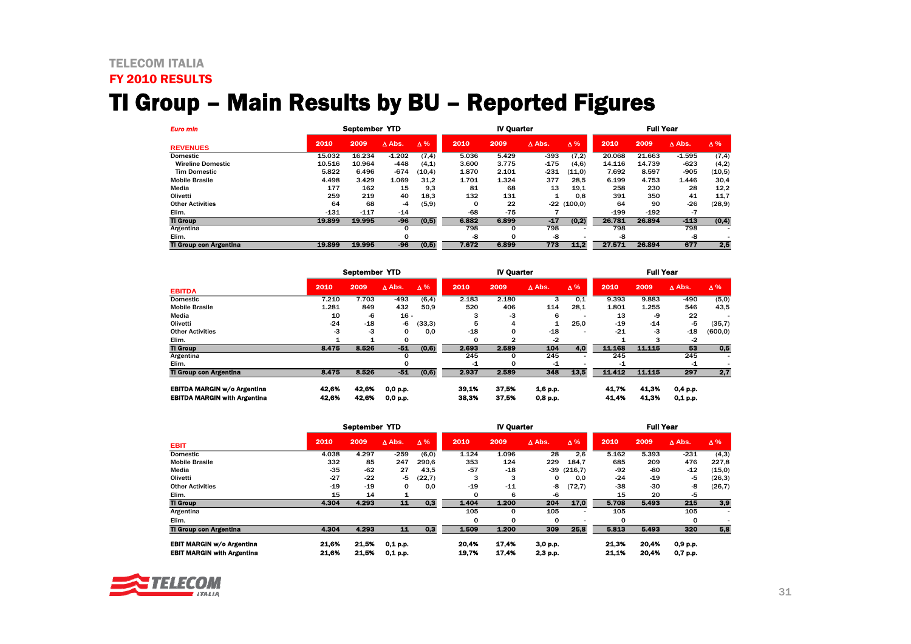#### TELECOM ITALIA FY 2010 RESULTS

# TI Group – Main Results by BU – Reported Figures

| <b>Euro min</b>               | September YTD |        |                  |            |          | <b>IV Quarter</b> |                  |            | <b>Full Year</b> |        |               |            |
|-------------------------------|---------------|--------|------------------|------------|----------|-------------------|------------------|------------|------------------|--------|---------------|------------|
| <b>REVENUES</b>               | 2010          | 2009   | $\triangle$ Abs. | $\Delta\%$ | 2010     | 2009              | $\triangle$ Abs. | $\Delta\%$ | 2010             | 2009   | $\Delta$ Abs. | $\Delta\%$ |
| <b>Domestic</b>               | 15.032        | 16.234 | $-1.202$         | (7, 4)     | 5.036    | 5.429             | $-393$           | (7,2)      | 20.068           | 21.663 | $-1.595$      | (7, 4)     |
| <b>Wireline Domestic</b>      | 10.516        | 10.964 | $-448$           | (4,1)      | 3.600    | 3.775             | $-175$           | (4,6)      | 14.116           | 14.739 | $-623$        | (4,2)      |
| <b>Tim Domestic</b>           | 5.822         | 6.496  | $-674$           | (10, 4)    | 1.870    | 2.101             | $-231$           | (11,0)     | 7.692            | 8.597  | $-905$        | (10, 5)    |
| <b>Mobile Brasile</b>         | 4.498         | 3.429  | 1.069            | 31.2       | 1.701    | 1.324             | 377              | 28.5       | 6.199            | 4.753  | 1.446         | 30,4       |
| Media                         | 177           | 162    | 15               | 9.3        | 81       | 68                | 13               | 19,1       | 258              | 230    | 28            | 12,2       |
| Olivetti                      | 259           | 219    | 40               | 18.3       | 132      | 131               |                  | 0.8        | 391              | 350    | 41            | 11,7       |
| <b>Other Activities</b>       | 64            | 68     | -4               | (5, 9)     | $\Omega$ | 22                | $-22$            | (100.0)    | 64               | 90     | -26           | (28, 9)    |
| Elim.                         | $-131$        | $-117$ | $-14$            |            | -68      | $-75$             |                  |            | $-199$           | $-192$ | -7            |            |
| <b>TI Group</b>               | 19.899        | 19.995 | -96              | (0,5)      | 6.882    | 6.899             | $-17$            | (0,2)      | 26.781           | 26.894 | $-113$        | (0, 4)     |
| Argentina                     |               |        | 0                |            | 798      | 0                 | 798              |            | 798              |        | 798           |            |
| Elim.                         |               |        |                  |            | -8       | 0                 | -8               |            | -8               |        | -8            |            |
| <b>TI Group con Argentina</b> | 19.899        | 19.995 | -96              | (0,5)      | 7.672    | 6.899             | 773              | 11.2       | 27.571           | 26.894 | 677           | 2,5        |

|                                     | September YTD |       |                  |            |              | <b>IV Ouarter</b> |                  | <b>Full Year</b> |        |         |                  |            |
|-------------------------------------|---------------|-------|------------------|------------|--------------|-------------------|------------------|------------------|--------|---------|------------------|------------|
| <b>EBITDA</b>                       | 2010          | 2009  | $\triangle$ Abs. | $\Delta\%$ | 2010         | 2009              | $\triangle$ Abs. | $\Delta\%$       | 2010   | 2009    | $\triangle$ Abs. | $\Delta\%$ |
| <b>Domestic</b>                     | 7.210         | 7.703 | $-493$           | (6, 4)     | 2.183        | 2.180             | 3                | 0.1              | 9.393  | 9.883   | $-490$           | (5,0)      |
| <b>Mobile Brasile</b>               | 1.281         | 849   | 432              | 50.9       | 520          | 406               | 114              | 28.1             | 1.801  | 1.255   | 546              | 43,5       |
| Media                               | 10            | -6    | $16 -$           |            |              | -3                | 6                |                  | 13     | -9      | 22               |            |
| Olivetti                            | $-24$         | $-18$ | -6               | (33,3)     | 5            | 4                 |                  | 25,0             | $-19$  | $-14$   | -5               | (35,7)     |
| <b>Other Activities</b>             | -3            | -3    | 0                | 0.0        | $-18$        | 0                 | $-18$            |                  | $-21$  | -3      | $-18$            | (600, 0)   |
| Elim.                               |               |       |                  |            | <sup>0</sup> | 2                 | $-2$             |                  |        |         | -2               |            |
| <b>TI Group</b>                     | 8.475         | 8.526 | $-51$            | (0,6)      | 2.693        | 2.589             | 104              | 4.0              | 11.168 | 11.115  | 53               | 0,5        |
| Argentina                           |               |       |                  |            | 245          | 0                 | 245              |                  | 245    |         | 245              |            |
| Elim.                               |               |       |                  |            | -1           | 0                 | -1               |                  | -1     |         | -1               |            |
| <b>TI Group con Argentina</b>       | 8.475         | 8.526 | $-51$            | (0,6)      | 2.937        | 2.589             | 348              | 135              | 11412  | 11 1 15 | 297              | 2,7        |
| <b>EBITDA MARGIN w/o Argentina</b>  | 42.6%         | 42.6% | 0,0 p.p.         |            | 39.1%        | 37.5%             | 1.6 p.p.         |                  | 41.7%  | 41.3%   | 0,4 p.p.         |            |
| <b>EBITDA MARGIN with Argentina</b> | 42.6%         | 42.6% | 0,0 p.p.         |            | 38.3%        | 37.5%             | $0,8$ p.p.       |                  | 41.4%  | 41.3%   | $0,1$ p.p.       |            |

| September YTD                                                         |                |                |                          |            |                | <b>IV Quarter</b> |                      |              | <b>Full Year</b> |                |                      |            |
|-----------------------------------------------------------------------|----------------|----------------|--------------------------|------------|----------------|-------------------|----------------------|--------------|------------------|----------------|----------------------|------------|
| <b>EBIT</b>                                                           | 2010           | 2009           | $\triangle$ Abs.         | $\Delta\%$ | 2010           | 2009              | $\triangle$ Abs.     | <b>Δ%</b>    | 2010             | 2009           | $\triangle$ Abs.     | $\Delta\%$ |
| <b>Domestic</b>                                                       | 4.038          | 4.297          | $-259$                   | (6, 0)     | 1.124          | 1.096             | 28                   | 2.6          | 5.162            | 5.393          | $-231$               | (4,3)      |
| <b>Mobile Brasile</b>                                                 | 332            | 85             | 247                      | 290.6      | 353            | 124               | 229                  | 184.7        | 685              | 209            | 476                  | 227,8      |
| Media                                                                 | -35            | $-62$          | 27                       | 43,5       | -57            | $-18$             |                      | $-39(216,7)$ | -92              | -80            | $-12$                | (15,0)     |
| Olivetti                                                              | $-27$          | $-22$          | -5                       | (22,7)     | 3              | з                 | 0                    | 0.0          | $-24$            | $-19$          | -5                   | (26,3)     |
| <b>Other Activities</b>                                               | $-19$          | $-19$          | 0                        | 0.0        | $-19$          | $-11$             | -8                   | (72,7)       | $-38$            | $-30$          | -8                   | (26,7)     |
| Elim.                                                                 | 15             | 14             |                          |            | 0              | 6                 | -6                   |              | 15               | 20             | -5                   |            |
| <b>TI Group</b>                                                       | 4.304          | 4.293          | 11                       | 0,3        | 1.404          | 1.200             | 204                  | 17,0         | 5.708            | 5.493          | 215                  | 3,9        |
| Argentina                                                             |                |                |                          |            | 105            | 0                 | 105                  |              | 105              |                | 105                  | ۰          |
| Elim.                                                                 |                |                |                          |            | 0              | 0                 | 0                    |              | 0                |                | 0                    |            |
| <b>TI Group con Argentina</b>                                         | 4.304          | 4.293          | 11                       | 0,3        | 1.509          | 1.200             | 309                  | 25,8         | 5.813            | 5.493          | 320                  | 5,8        |
| <b>EBIT MARGIN w/o Argentina</b><br><b>EBIT MARGIN with Argentina</b> | 21.6%<br>21.6% | 21.5%<br>21.5% | $0,1$ p.p.<br>$0,1$ p.p. |            | 20.4%<br>19.7% | 17.4%<br>17.4%    | 3,0 p.p.<br>2,3 p.p. |              | 21.3%<br>21.1%   | 20.4%<br>20.4% | 0,9 p.p.<br>0,7 p.p. |            |

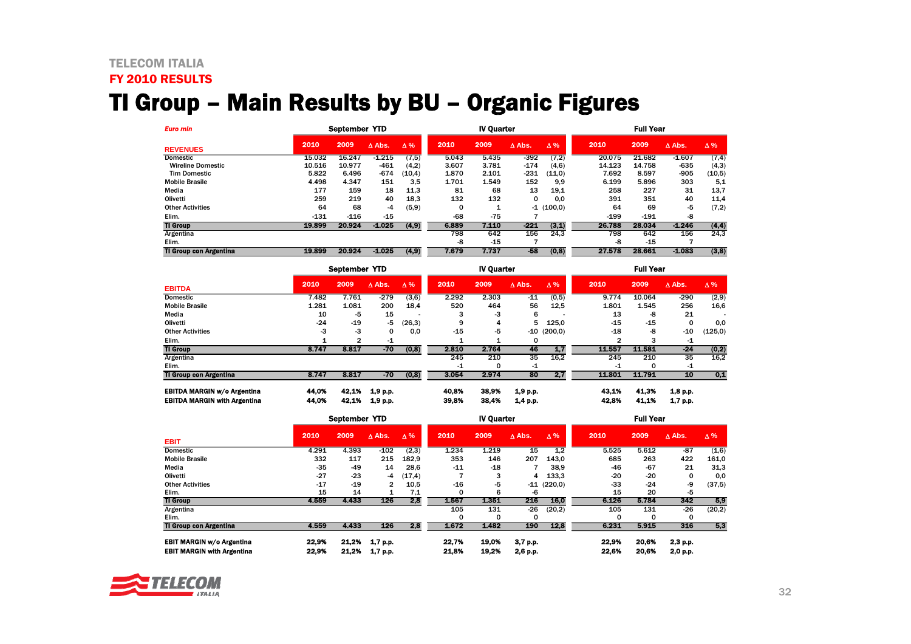### TELECOM ITALIA

# FY 2010 RESULTS

# TI Group – Main Results by BU – Organic Figures

| <b>Euro min</b>               |        | September YTD |                  |            |       | <b>IV Quarter</b> |                  |              |        | <b>Full Year</b> |                  |            |  |
|-------------------------------|--------|---------------|------------------|------------|-------|-------------------|------------------|--------------|--------|------------------|------------------|------------|--|
| <b>REVENUES</b>               | 2010   | 2009          | $\triangle$ Abs. | $\Delta\%$ | 2010  | 2009              | $\triangle$ Abs. | $\Delta\%$   | 2010   | 2009             | $\triangle$ Abs. | $\Delta\%$ |  |
| <b>Domestic</b>               | 15.032 | 16.247        | $-1.215$         | (7, 5)     | 5.043 | 5.435             | $-392$           | (7,2)        | 20.075 | 21.682           | $-1.607$         | (7, 4)     |  |
| <b>Wireline Domestic</b>      | 10.516 | 10.977        | -461             | (4,2)      | 3.607 | 3.781             | $-174$           | (4,6)        | 14.123 | 14.758           | -635             | (4,3)      |  |
| <b>Tim Domestic</b>           | 5.822  | 6.496         | -674             | (10, 4)    | 1.870 | 2.101             | $-231$           | (11,0)       | 7.692  | 8.597            | -905             | (10,5)     |  |
| <b>Mobile Brasile</b>         | 4.498  | 4.347         | 151              | 3.5        | 1.701 | 1.549             | 152              | 9.9          | 6.199  | 5.896            | 303              | 5.1        |  |
| Media                         | 177    | 159           | 18               | 11,3       | 81    | 68                | 13               | 19,1         | 258    | 227              | 31               | 13,7       |  |
| Olivetti                      | 259    | 219           | 40               | 18.3       | 132   | 132               | 0                | 0.0          | 391    | 351              | 40               | 11,4       |  |
| <b>Other Activities</b>       | 64     | 68            | -4               | (5, 9)     | 0     |                   |                  | $-1$ (100,0) | 64     | 69               | -5               | (7,2)      |  |
| Elim.                         | $-131$ | $-116$        | $-15$            |            | -68   | $-75$             |                  |              | $-199$ | $-191$           | -8               |            |  |
| <b>TI Group</b>               | 19.899 | 20.924        | $-1.025$         | (4, 9)     | 6.889 | 7.110             | $-221$           | (3,1)        | 26.788 | 28.034           | $-1.246$         | (4, 4)     |  |
| Argentina                     |        |               |                  |            | 798   | 642               | 156              | 24.3         | 798    | 642              | 156              | 24.3       |  |
| Elim.                         |        |               |                  |            | -8    | $-15$             |                  |              | -8     | $-15$            |                  |            |  |
| <b>TI Group con Argentina</b> | 19.899 | 20.924        | $-1.025$         | (4, 9)     | 7.679 | 7.737             | $-58$            | (0, 8)       | 27.578 | 28.661           | $-1.083$         | (3,8)      |  |

|                                     |       | September YTD |               |            |       | <b>IV Quarter</b> |                  |               |        | <b>Full Year</b> |                  |            |  |
|-------------------------------------|-------|---------------|---------------|------------|-------|-------------------|------------------|---------------|--------|------------------|------------------|------------|--|
| <b>EBITDA</b>                       | 2010  | 2009          | $\Delta$ Abs. | $\Delta\%$ | 2010  | 2009              | $\triangle$ Abs. | $\Delta\%$    | 2010   | 2009             | $\triangle$ Abs. | $\Delta\%$ |  |
| <b>Domestic</b>                     | 7.482 | 7.761         | $-279$        | (3,6)      | 2.292 | 2.303             | $-11$            | (0,5)         | 9.774  | 10.064           | $-290$           | (2,9)      |  |
| <b>Mobile Brasile</b>               | 1.281 | 1.081         | 200           | 18.4       | 520   | 464               | 56               | 12,5          | 1.801  | 1.545            | 256              | 16,6       |  |
| Media                               | 10    | -5            | 15            |            |       | -3                | 6                |               | 13     | -8               | 21               |            |  |
| Olivetti                            | $-24$ | $-19$         | -5            | (26, 3)    | 9     | 4                 | 5                | 125.0         | $-15$  | $-15$            | $\Omega$         | 0,0        |  |
| <b>Other Activities</b>             | -3    | -3            | 0             | 0.0        | $-15$ | -5                |                  | $-10$ (200,0) | -18    | -8               | $-10$            | (125,0)    |  |
| Elim.                               |       | 2             | -1            |            |       | 1                 | 0                |               | 2      |                  | -1               |            |  |
| <b>TI Group</b>                     | 8.747 | 8.817         | $-70$         | (0, 8)     | 2.810 | 2.764             | 46               | 1.7           | 11.557 | 11.581           | $-24$            | (0,2)      |  |
| Argentina                           |       |               |               |            | 245   | 210               | 35               | 16.2          | 245    | 210              | 35               | 16.2       |  |
| Elim.                               |       |               |               |            | -1    | 0                 | -1               |               | -1     | $\Omega$         | -1               |            |  |
| <b>TI Group con Argentina</b>       | 8.747 | 8.817         | $-70$         | (0, 8)     | 3.054 | 2.974             | 80               | 2,7           | 11.801 | 11.791           | 10               | 0,1        |  |
| <b>EBITDA MARGIN w/o Argentina</b>  | 44.0% | 42.1%         | 1.9 p.p.      |            | 40.8% | 38,9%             | 1,9 p.p.         |               | 43,1%  | 41.3%            | 1,8 p.p.         |            |  |
| <b>EBITDA MARGIN with Argentina</b> | 44.0% | 42.1%         | 1,9 p.p.      |            | 39.8% | 38.4%             | 1,4 p.p.         |               | 42.8%  | 41.1%            | 1,7 p.p.         |            |  |

|                                   |       | September YTD |                |            |       | <b>IV Quarter</b> |                  |            |       | <b>Full Year</b> |                  |            |  |
|-----------------------------------|-------|---------------|----------------|------------|-------|-------------------|------------------|------------|-------|------------------|------------------|------------|--|
| <b>EBIT</b>                       | 2010  | 2009          | A Abs.         | $\Delta\%$ | 2010  | 2009              | $\triangle$ Abs. | $\Delta\%$ | 2010  | 2009             | $\triangle$ Abs. | $\Delta\%$ |  |
| <b>Domestic</b>                   | 4.291 | 4.393         | $-102$         | (2,3)      | 1.234 | 1.219             | 15               | 1.2        | 5.525 | 5.612            | $-87$            | (1,6)      |  |
| <b>Mobile Brasile</b>             | 332   | 117           | 215            | 182.9      | 353   | 146               | 207              | 143.0      | 685   | 263              | 422              | 161,0      |  |
| Media                             | $-35$ | $-49$         | 14             | 28,6       | $-11$ | $-18$             |                  | 38,9       | -46   | $-67$            | 21               | 31,3       |  |
| Olivetti                          | $-27$ | $-23$         | -4             | (17, 4)    |       | 3                 | 4                | 133,3      | $-20$ | $-20$            | 0                | 0,0        |  |
| <b>Other Activities</b>           | $-17$ | $-19$         | $\overline{2}$ | 10.5       | $-16$ | -5                | $-11$            | (220,0)    | $-33$ | $-24$            | -9               | (37, 5)    |  |
| Elim.                             | 15    | 14            |                | 7,1        | 0     | 6                 | -6               |            | 15    | 20               | -5               |            |  |
| <b>TI Group</b>                   | 4.559 | 4.433         | 126            | 2.8        | 1.567 | 1.351             | 216              | 16.0       | 6.126 | 5.784            | 342              | 5,9        |  |
| Argentina                         |       |               |                |            | 105   | 131               | $-26$            | (20,2)     | 105   | 131              | -26              | (20,2)     |  |
| Elim.                             |       |               |                |            | 0     | 0                 | 0                |            | 0     |                  | 0                |            |  |
| <b>TI Group con Argentina</b>     | 4.559 | 4.433         | 126            | 2,8        | 1.672 | 1.482             | 190              | 12,8       | 6.231 | 5.915            | 316              | 5,3        |  |
| <b>EBIT MARGIN w/o Argentina</b>  | 22.9% | 21.2%         | 1.7 p.p.       |            | 22.7% | 19.0%             | 3,7 p.p.         |            | 22,9% | 20.6%            | 2,3 p.p.         |            |  |
| <b>EBIT MARGIN with Argentina</b> | 22.9% | 21.2%         | 1.7 p.p.       |            | 21.8% | 19.2%             | 2,6 p.p.         |            | 22.6% | 20.6%            | 2,0 p.p.         |            |  |